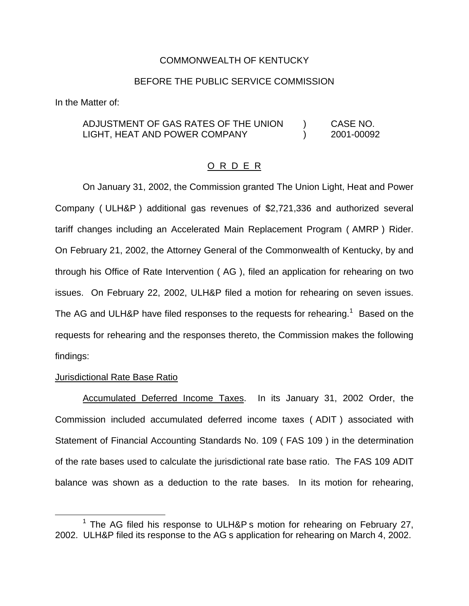### COMMONWEALTH OF KENTUCKY

### BEFORE THE PUBLIC SERVICE COMMISSION

In the Matter of:

ADJUSTMENT OF GAS RATES OF THE UNION ) CASE NO. LIGHT, HEAT AND POWER COMPANY (2001-00092

#### O R D E R

On January 31, 2002, the Commission granted The Union Light, Heat and Power Company ( ULH&P ) additional gas revenues of \$2,721,336 and authorized several tariff changes including an Accelerated Main Replacement Program ( AMRP ) Rider. On February 21, 2002, the Attorney General of the Commonwealth of Kentucky, by and through his Office of Rate Intervention ( AG ), filed an application for rehearing on two issues. On February 22, 2002, ULH&P filed a motion for rehearing on seven issues. The AG and ULH&P have filed responses to the requests for rehearing.<sup>1</sup> Based on the requests for rehearing and the responses thereto, the Commission makes the following findings:

#### Jurisdictional Rate Base Ratio

Accumulated Deferred Income Taxes. In its January 31, 2002 Order, the Commission included accumulated deferred income taxes ( ADIT ) associated with Statement of Financial Accounting Standards No. 109 ( FAS 109 ) in the determination of the rate bases used to calculate the jurisdictional rate base ratio. The FAS 109 ADIT balance was shown as a deduction to the rate bases. In its motion for rehearing,

<sup>&</sup>lt;sup>1</sup> The AG filed his response to ULH&P s motion for rehearing on February 27, 2002. ULH&P filed its response to the AG s application for rehearing on March 4, 2002.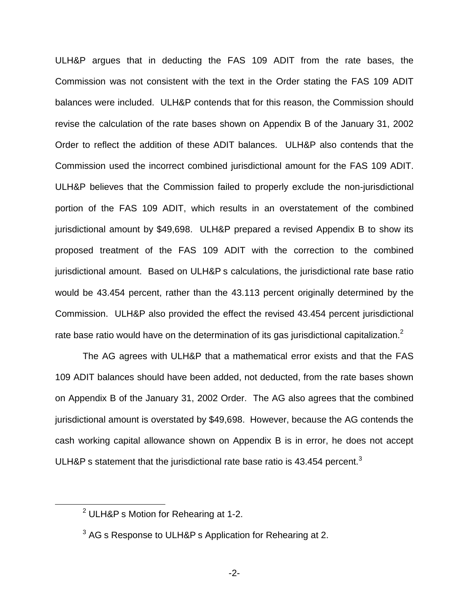ULH&P argues that in deducting the FAS 109 ADIT from the rate bases, the Commission was not consistent with the text in the Order stating the FAS 109 ADIT balances were included. ULH&P contends that for this reason, the Commission should revise the calculation of the rate bases shown on Appendix B of the January 31, 2002 Order to reflect the addition of these ADIT balances. ULH&P also contends that the Commission used the incorrect combined jurisdictional amount for the FAS 109 ADIT. ULH&P believes that the Commission failed to properly exclude the non-jurisdictional portion of the FAS 109 ADIT, which results in an overstatement of the combined jurisdictional amount by \$49,698. ULH&P prepared a revised Appendix B to show its proposed treatment of the FAS 109 ADIT with the correction to the combined jurisdictional amount. Based on ULH&P s calculations, the jurisdictional rate base ratio would be 43.454 percent, rather than the 43.113 percent originally determined by the Commission. ULH&P also provided the effect the revised 43.454 percent jurisdictional rate base ratio would have on the determination of its gas jurisdictional capitalization.<sup>2</sup>

The AG agrees with ULH&P that a mathematical error exists and that the FAS 109 ADIT balances should have been added, not deducted, from the rate bases shown on Appendix B of the January 31, 2002 Order. The AG also agrees that the combined jurisdictional amount is overstated by \$49,698. However, because the AG contends the cash working capital allowance shown on Appendix B is in error, he does not accept ULH&P s statement that the jurisdictional rate base ratio is  $43.454$  percent.<sup>3</sup>

<sup>2</sup> ULH&P s Motion for Rehearing at 1-2.

 $3$  AG s Response to ULH&P s Application for Rehearing at 2.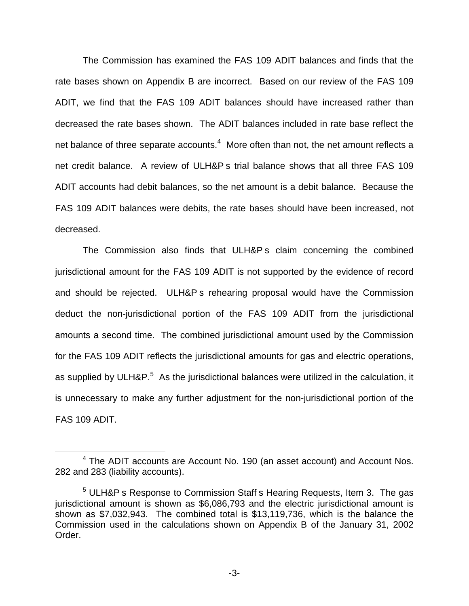The Commission has examined the FAS 109 ADIT balances and finds that the rate bases shown on Appendix B are incorrect. Based on our review of the FAS 109 ADIT, we find that the FAS 109 ADIT balances should have increased rather than decreased the rate bases shown. The ADIT balances included in rate base reflect the net balance of three separate accounts.<sup>4</sup> More often than not, the net amount reflects a net credit balance. A review of ULH&P s trial balance shows that all three FAS 109 ADIT accounts had debit balances, so the net amount is a debit balance. Because the FAS 109 ADIT balances were debits, the rate bases should have been increased, not decreased.

The Commission also finds that ULH&P s claim concerning the combined jurisdictional amount for the FAS 109 ADIT is not supported by the evidence of record and should be rejected. ULH&P s rehearing proposal would have the Commission deduct the non-jurisdictional portion of the FAS 109 ADIT from the jurisdictional amounts a second time. The combined jurisdictional amount used by the Commission for the FAS 109 ADIT reflects the jurisdictional amounts for gas and electric operations, as supplied by ULH&P.<sup>5</sup> As the jurisdictional balances were utilized in the calculation, it is unnecessary to make any further adjustment for the non-jurisdictional portion of the FAS 109 ADIT.

<sup>&</sup>lt;sup>4</sup> The ADIT accounts are Account No. 190 (an asset account) and Account Nos. 282 and 283 (liability accounts).

<sup>&</sup>lt;sup>5</sup> ULH&P s Response to Commission Staff s Hearing Requests, Item 3. The gas jurisdictional amount is shown as \$6,086,793 and the electric jurisdictional amount is shown as \$7,032,943. The combined total is \$13,119,736, which is the balance the Commission used in the calculations shown on Appendix B of the January 31, 2002 Order.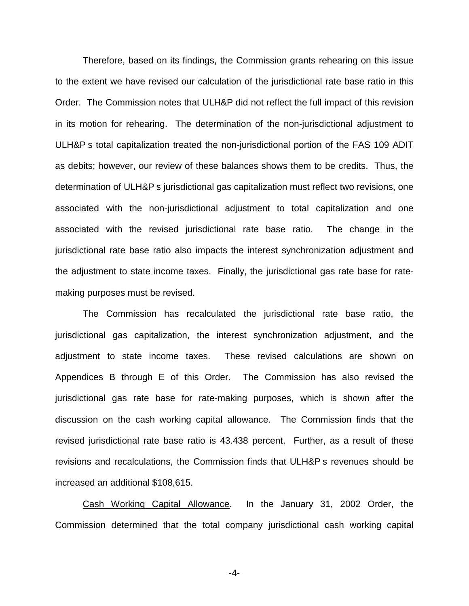Therefore, based on its findings, the Commission grants rehearing on this issue to the extent we have revised our calculation of the jurisdictional rate base ratio in this Order. The Commission notes that ULH&P did not reflect the full impact of this revision in its motion for rehearing. The determination of the non-jurisdictional adjustment to ULH&P s total capitalization treated the non-jurisdictional portion of the FAS 109 ADIT as debits; however, our review of these balances shows them to be credits. Thus, the determination of ULH&P s jurisdictional gas capitalization must reflect two revisions, one associated with the non-jurisdictional adjustment to total capitalization and one associated with the revised jurisdictional rate base ratio. The change in the jurisdictional rate base ratio also impacts the interest synchronization adjustment and the adjustment to state income taxes. Finally, the jurisdictional gas rate base for ratemaking purposes must be revised.

The Commission has recalculated the jurisdictional rate base ratio, the jurisdictional gas capitalization, the interest synchronization adjustment, and the adjustment to state income taxes. These revised calculations are shown on Appendices B through E of this Order. The Commission has also revised the jurisdictional gas rate base for rate-making purposes, which is shown after the discussion on the cash working capital allowance. The Commission finds that the revised jurisdictional rate base ratio is 43.438 percent. Further, as a result of these revisions and recalculations, the Commission finds that ULH&P s revenues should be increased an additional \$108,615.

Cash Working Capital Allowance. In the January 31, 2002 Order, the Commission determined that the total company jurisdictional cash working capital

-4-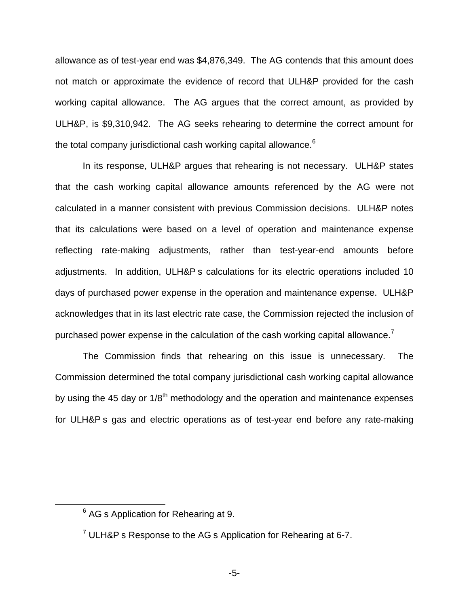allowance as of test-year end was \$4,876,349. The AG contends that this amount does not match or approximate the evidence of record that ULH&P provided for the cash working capital allowance. The AG argues that the correct amount, as provided by ULH&P, is \$9,310,942. The AG seeks rehearing to determine the correct amount for the total company jurisdictional cash working capital allowance.<sup>6</sup>

In its response, ULH&P argues that rehearing is not necessary. ULH&P states that the cash working capital allowance amounts referenced by the AG were not calculated in a manner consistent with previous Commission decisions. ULH&P notes that its calculations were based on a level of operation and maintenance expense reflecting rate-making adjustments, rather than test-year-end amounts before adjustments. In addition, ULH&P s calculations for its electric operations included 10 days of purchased power expense in the operation and maintenance expense. ULH&P acknowledges that in its last electric rate case, the Commission rejected the inclusion of purchased power expense in the calculation of the cash working capital allowance.<sup>7</sup>

The Commission finds that rehearing on this issue is unnecessary. The Commission determined the total company jurisdictional cash working capital allowance by using the 45 day or  $1/8<sup>th</sup>$  methodology and the operation and maintenance expenses for ULH&P s gas and electric operations as of test-year end before any rate-making

<sup>&</sup>lt;sup>6</sup> AG s Application for Rehearing at 9.

 $7$  ULH&P s Response to the AG s Application for Rehearing at 6-7.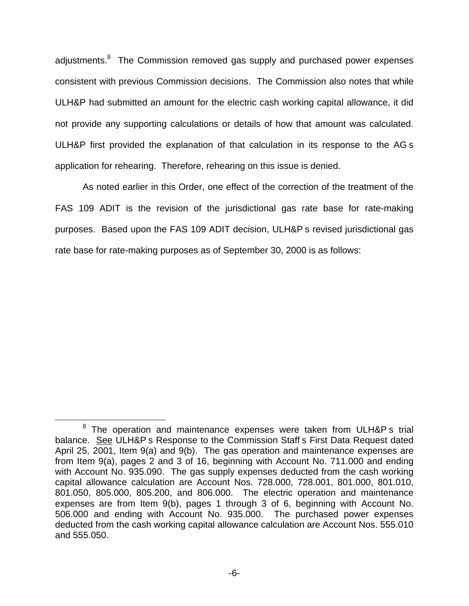adjustments.<sup>8</sup> The Commission removed gas supply and purchased power expenses consistent with previous Commission decisions. The Commission also notes that while ULH&P had submitted an amount for the electric cash working capital allowance, it did not provide any supporting calculations or details of how that amount was calculated. ULH&P first provided the explanation of that calculation in its response to the AG s application for rehearing. Therefore, rehearing on this issue is denied.

As noted earlier in this Order, one effect of the correction of the treatment of the FAS 109 ADIT is the revision of the jurisdictional gas rate base for rate-making purposes. Based upon the FAS 109 ADIT decision, ULH&P s revised jurisdictional gas rate base for rate-making purposes as of September 30, 2000 is as follows:

<sup>&</sup>lt;sup>8</sup> The operation and maintenance expenses were taken from ULH&P s trial balance. See ULH&P s Response to the Commission Staff s First Data Request dated April 25, 2001, Item 9(a) and 9(b). The gas operation and maintenance expenses are from Item 9(a), pages 2 and 3 of 16, beginning with Account No. 711.000 and ending with Account No. 935.090. The gas supply expenses deducted from the cash working capital allowance calculation are Account Nos. 728.000, 728.001, 801.000, 801.010, 801.050, 805.000, 805.200, and 806.000. The electric operation and maintenance expenses are from Item 9(b), pages 1 through 3 of 6, beginning with Account No. 506.000 and ending with Account No. 935.000. The purchased power expenses deducted from the cash working capital allowance calculation are Account Nos. 555.010 and 555.050.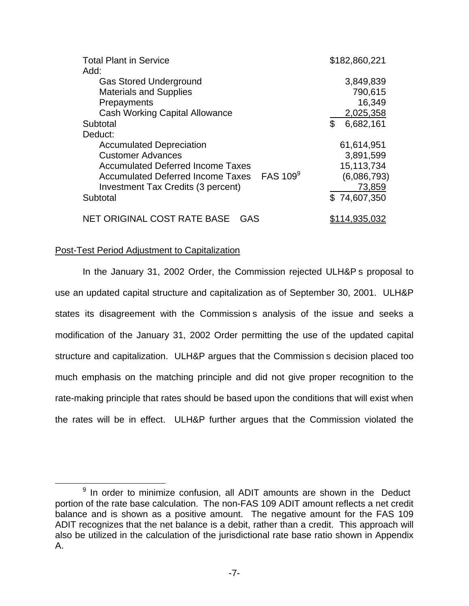| <b>Total Plant in Service</b>              | \$182,860,221 |
|--------------------------------------------|---------------|
| Add:                                       |               |
| <b>Gas Stored Underground</b>              | 3,849,839     |
| <b>Materials and Supplies</b>              | 790,615       |
| Prepayments                                | 16,349        |
| <b>Cash Working Capital Allowance</b>      | 2,025,358     |
| Subtotal                                   | 6,682,161     |
| Deduct:                                    |               |
| <b>Accumulated Depreciation</b>            | 61,614,951    |
| <b>Customer Advances</b>                   | 3,891,599     |
| <b>Accumulated Deferred Income Taxes</b>   | 15,113,734    |
| Accumulated Deferred Income Taxes FAS 1099 | (6,086,793)   |
| Investment Tax Credits (3 percent)         | 73,859        |
| Subtotal                                   | \$74,607,350  |
| NET ORIGINAL COST RATE BASE<br>GAS         | \$114,935,032 |

### Post-Test Period Adjustment to Capitalization

In the January 31, 2002 Order, the Commission rejected ULH&P s proposal to use an updated capital structure and capitalization as of September 30, 2001. ULH&P states its disagreement with the Commission s analysis of the issue and seeks a modification of the January 31, 2002 Order permitting the use of the updated capital structure and capitalization. ULH&P argues that the Commission s decision placed too much emphasis on the matching principle and did not give proper recognition to the rate-making principle that rates should be based upon the conditions that will exist when the rates will be in effect. ULH&P further argues that the Commission violated the

 $9$  In order to minimize confusion, all ADIT amounts are shown in the Deduct portion of the rate base calculation. The non-FAS 109 ADIT amount reflects a net credit balance and is shown as a positive amount. The negative amount for the FAS 109 ADIT recognizes that the net balance is a debit, rather than a credit. This approach will also be utilized in the calculation of the jurisdictional rate base ratio shown in Appendix A.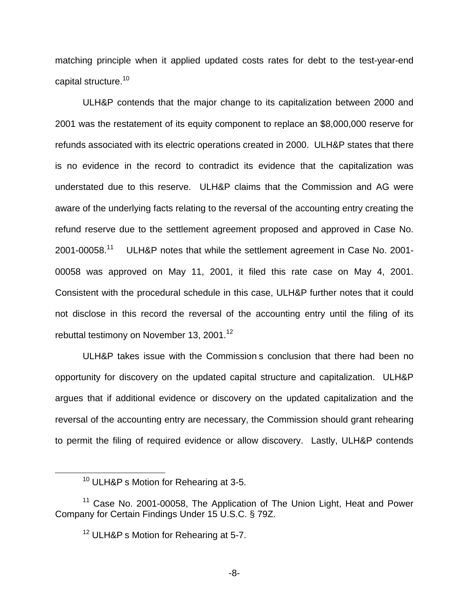matching principle when it applied updated costs rates for debt to the test-year-end capital structure.<sup>10</sup>

ULH&P contends that the major change to its capitalization between 2000 and 2001 was the restatement of its equity component to replace an \$8,000,000 reserve for refunds associated with its electric operations created in 2000. ULH&P states that there is no evidence in the record to contradict its evidence that the capitalization was understated due to this reserve. ULH&P claims that the Commission and AG were aware of the underlying facts relating to the reversal of the accounting entry creating the refund reserve due to the settlement agreement proposed and approved in Case No. 2001-00058.<sup>11</sup> ULH&P notes that while the settlement agreement in Case No. 2001- 00058 was approved on May 11, 2001, it filed this rate case on May 4, 2001. Consistent with the procedural schedule in this case, ULH&P further notes that it could not disclose in this record the reversal of the accounting entry until the filing of its rebuttal testimony on November 13, 2001.<sup>12</sup>

ULH&P takes issue with the Commission s conclusion that there had been no opportunity for discovery on the updated capital structure and capitalization. ULH&P argues that if additional evidence or discovery on the updated capitalization and the reversal of the accounting entry are necessary, the Commission should grant rehearing to permit the filing of required evidence or allow discovery. Lastly, ULH&P contends

-8-

<sup>&</sup>lt;sup>10</sup> ULH&P s Motion for Rehearing at 3-5.

<sup>&</sup>lt;sup>11</sup> Case No. 2001-00058, The Application of The Union Light, Heat and Power Company for Certain Findings Under 15 U.S.C. § 79Z.

<sup>&</sup>lt;sup>12</sup> ULH&P s Motion for Rehearing at 5-7.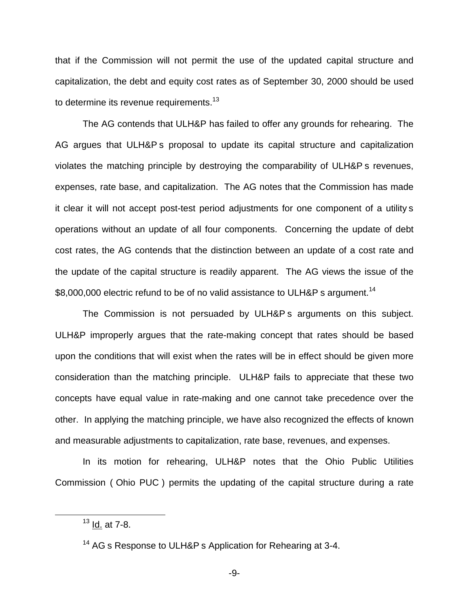that if the Commission will not permit the use of the updated capital structure and capitalization, the debt and equity cost rates as of September 30, 2000 should be used to determine its revenue requirements.<sup>13</sup>

The AG contends that ULH&P has failed to offer any grounds for rehearing. The AG argues that ULH&P s proposal to update its capital structure and capitalization violates the matching principle by destroying the comparability of ULH&P s revenues, expenses, rate base, and capitalization. The AG notes that the Commission has made it clear it will not accept post-test period adjustments for one component of a utility s operations without an update of all four components. Concerning the update of debt cost rates, the AG contends that the distinction between an update of a cost rate and the update of the capital structure is readily apparent. The AG views the issue of the \$8,000,000 electric refund to be of no valid assistance to ULH&P s argument.<sup>14</sup>

The Commission is not persuaded by ULH&P s arguments on this subject. ULH&P improperly argues that the rate-making concept that rates should be based upon the conditions that will exist when the rates will be in effect should be given more consideration than the matching principle. ULH&P fails to appreciate that these two concepts have equal value in rate-making and one cannot take precedence over the other. In applying the matching principle, we have also recognized the effects of known and measurable adjustments to capitalization, rate base, revenues, and expenses.

In its motion for rehearing, ULH&P notes that the Ohio Public Utilities Commission ( Ohio PUC ) permits the updating of the capital structure during a rate

 $13$  <u>Id.</u> at 7-8.

<sup>&</sup>lt;sup>14</sup> AG s Response to ULH&P s Application for Rehearing at 3-4.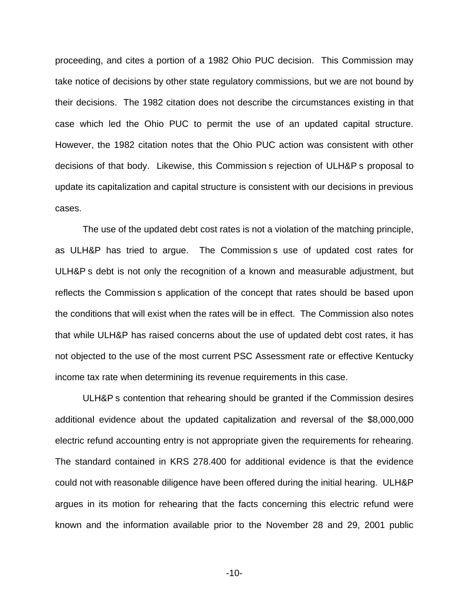proceeding, and cites a portion of a 1982 Ohio PUC decision. This Commission may take notice of decisions by other state regulatory commissions, but we are not bound by their decisions. The 1982 citation does not describe the circumstances existing in that case which led the Ohio PUC to permit the use of an updated capital structure. However, the 1982 citation notes that the Ohio PUC action was consistent with other decisions of that body. Likewise, this Commission s rejection of ULH&P s proposal to update its capitalization and capital structure is consistent with our decisions in previous cases.

The use of the updated debt cost rates is not a violation of the matching principle, as ULH&P has tried to argue. The Commission s use of updated cost rates for ULH&P s debt is not only the recognition of a known and measurable adjustment, but reflects the Commission s application of the concept that rates should be based upon the conditions that will exist when the rates will be in effect. The Commission also notes that while ULH&P has raised concerns about the use of updated debt cost rates, it has not objected to the use of the most current PSC Assessment rate or effective Kentucky income tax rate when determining its revenue requirements in this case.

ULH&P s contention that rehearing should be granted if the Commission desires additional evidence about the updated capitalization and reversal of the \$8,000,000 electric refund accounting entry is not appropriate given the requirements for rehearing. The standard contained in KRS 278.400 for additional evidence is that the evidence could not with reasonable diligence have been offered during the initial hearing. ULH&P argues in its motion for rehearing that the facts concerning this electric refund were known and the information available prior to the November 28 and 29, 2001 public

-10-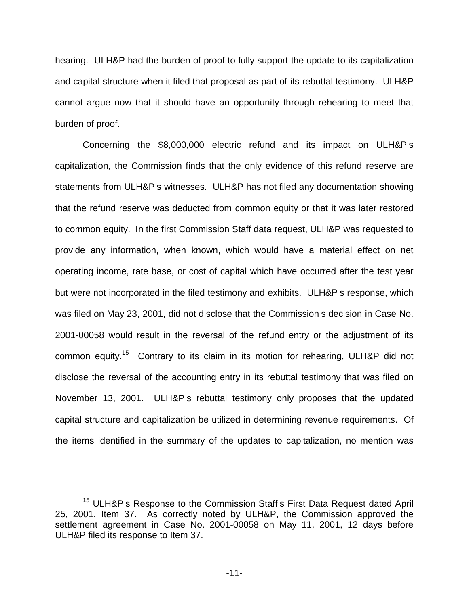hearing. ULH&P had the burden of proof to fully support the update to its capitalization and capital structure when it filed that proposal as part of its rebuttal testimony. ULH&P cannot argue now that it should have an opportunity through rehearing to meet that burden of proof.

Concerning the \$8,000,000 electric refund and its impact on ULH&P s capitalization, the Commission finds that the only evidence of this refund reserve are statements from ULH&P s witnesses. ULH&P has not filed any documentation showing that the refund reserve was deducted from common equity or that it was later restored to common equity. In the first Commission Staff data request, ULH&P was requested to provide any information, when known, which would have a material effect on net operating income, rate base, or cost of capital which have occurred after the test year but were not incorporated in the filed testimony and exhibits. ULH&P s response, which was filed on May 23, 2001, did not disclose that the Commission s decision in Case No. 2001-00058 would result in the reversal of the refund entry or the adjustment of its common equity.15 Contrary to its claim in its motion for rehearing, ULH&P did not disclose the reversal of the accounting entry in its rebuttal testimony that was filed on November 13, 2001. ULH&P s rebuttal testimony only proposes that the updated capital structure and capitalization be utilized in determining revenue requirements. Of the items identified in the summary of the updates to capitalization, no mention was

<sup>&</sup>lt;sup>15</sup> ULH&P s Response to the Commission Staff s First Data Request dated April 25, 2001, Item 37. As correctly noted by ULH&P, the Commission approved the settlement agreement in Case No. 2001-00058 on May 11, 2001, 12 days before ULH&P filed its response to Item 37.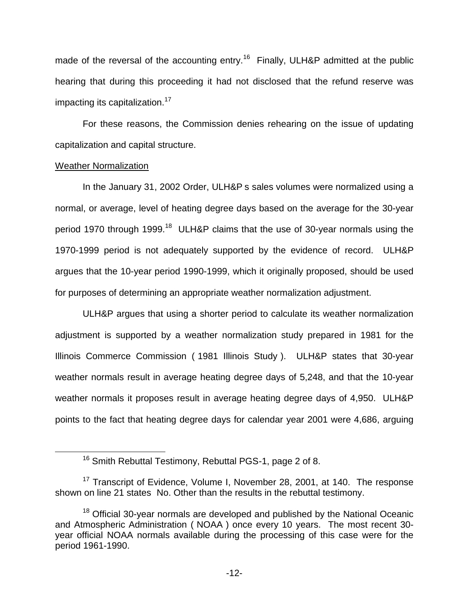made of the reversal of the accounting entry.<sup>16</sup> Finally, ULH&P admitted at the public hearing that during this proceeding it had not disclosed that the refund reserve was impacting its capitalization.<sup>17</sup>

For these reasons, the Commission denies rehearing on the issue of updating capitalization and capital structure.

### Weather Normalization

In the January 31, 2002 Order, ULH&P s sales volumes were normalized using a normal, or average, level of heating degree days based on the average for the 30-year period 1970 through 1999.<sup>18</sup> ULH&P claims that the use of 30-year normals using the 1970-1999 period is not adequately supported by the evidence of record. ULH&P argues that the 10-year period 1990-1999, which it originally proposed, should be used for purposes of determining an appropriate weather normalization adjustment.

ULH&P argues that using a shorter period to calculate its weather normalization adjustment is supported by a weather normalization study prepared in 1981 for the Illinois Commerce Commission ( 1981 Illinois Study ). ULH&P states that 30-year weather normals result in average heating degree days of 5,248, and that the 10-year weather normals it proposes result in average heating degree days of 4,950. ULH&P points to the fact that heating degree days for calendar year 2001 were 4,686, arguing

<sup>&</sup>lt;sup>16</sup> Smith Rebuttal Testimony, Rebuttal PGS-1, page 2 of 8.

<sup>&</sup>lt;sup>17</sup> Transcript of Evidence, Volume I, November 28, 2001, at 140. The response shown on line 21 states No. Other than the results in the rebuttal testimony.

<sup>&</sup>lt;sup>18</sup> Official 30-year normals are developed and published by the National Oceanic and Atmospheric Administration ( NOAA ) once every 10 years. The most recent 30 year official NOAA normals available during the processing of this case were for the period 1961-1990.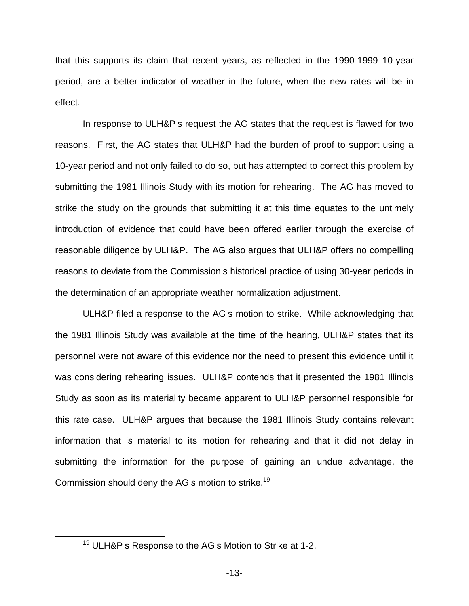that this supports its claim that recent years, as reflected in the 1990-1999 10-year period, are a better indicator of weather in the future, when the new rates will be in effect.

In response to ULH&P s request the AG states that the request is flawed for two reasons. First, the AG states that ULH&P had the burden of proof to support using a 10-year period and not only failed to do so, but has attempted to correct this problem by submitting the 1981 Illinois Study with its motion for rehearing. The AG has moved to strike the study on the grounds that submitting it at this time equates to the untimely introduction of evidence that could have been offered earlier through the exercise of reasonable diligence by ULH&P. The AG also argues that ULH&P offers no compelling reasons to deviate from the Commission s historical practice of using 30-year periods in the determination of an appropriate weather normalization adjustment.

ULH&P filed a response to the AG s motion to strike. While acknowledging that the 1981 Illinois Study was available at the time of the hearing, ULH&P states that its personnel were not aware of this evidence nor the need to present this evidence until it was considering rehearing issues. ULH&P contends that it presented the 1981 Illinois Study as soon as its materiality became apparent to ULH&P personnel responsible for this rate case. ULH&P argues that because the 1981 Illinois Study contains relevant information that is material to its motion for rehearing and that it did not delay in submitting the information for the purpose of gaining an undue advantage, the Commission should deny the AG s motion to strike.<sup>19</sup>

<sup>&</sup>lt;sup>19</sup> ULH&P s Response to the AG s Motion to Strike at 1-2.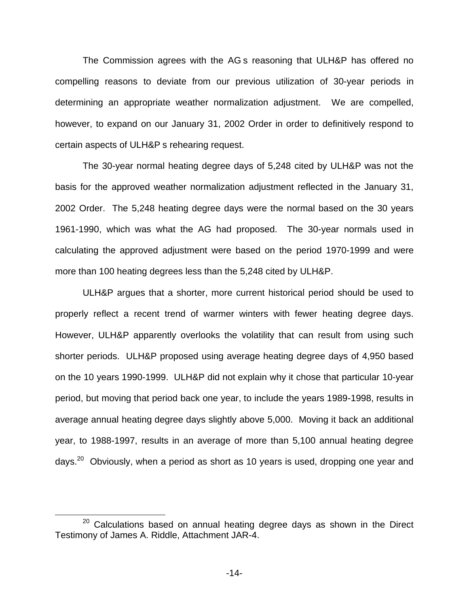The Commission agrees with the AG s reasoning that ULH&P has offered no compelling reasons to deviate from our previous utilization of 30-year periods in determining an appropriate weather normalization adjustment. We are compelled, however, to expand on our January 31, 2002 Order in order to definitively respond to certain aspects of ULH&P s rehearing request.

The 30-year normal heating degree days of 5,248 cited by ULH&P was not the basis for the approved weather normalization adjustment reflected in the January 31, 2002 Order. The 5,248 heating degree days were the normal based on the 30 years 1961-1990, which was what the AG had proposed. The 30-year normals used in calculating the approved adjustment were based on the period 1970-1999 and were more than 100 heating degrees less than the 5,248 cited by ULH&P.

ULH&P argues that a shorter, more current historical period should be used to properly reflect a recent trend of warmer winters with fewer heating degree days. However, ULH&P apparently overlooks the volatility that can result from using such shorter periods. ULH&P proposed using average heating degree days of 4,950 based on the 10 years 1990-1999. ULH&P did not explain why it chose that particular 10-year period, but moving that period back one year, to include the years 1989-1998, results in average annual heating degree days slightly above 5,000. Moving it back an additional year, to 1988-1997, results in an average of more than 5,100 annual heating degree days.<sup>20</sup> Obviously, when a period as short as 10 years is used, dropping one year and

 $20$  Calculations based on annual heating degree days as shown in the Direct Testimony of James A. Riddle, Attachment JAR-4.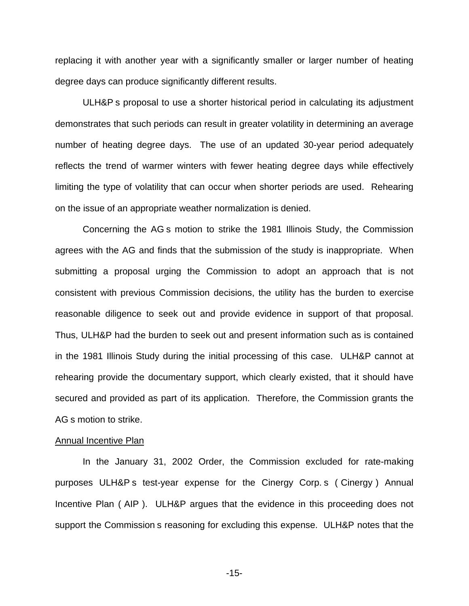replacing it with another year with a significantly smaller or larger number of heating degree days can produce significantly different results.

ULH&P s proposal to use a shorter historical period in calculating its adjustment demonstrates that such periods can result in greater volatility in determining an average number of heating degree days. The use of an updated 30-year period adequately reflects the trend of warmer winters with fewer heating degree days while effectively limiting the type of volatility that can occur when shorter periods are used. Rehearing on the issue of an appropriate weather normalization is denied.

Concerning the AG s motion to strike the 1981 Illinois Study, the Commission agrees with the AG and finds that the submission of the study is inappropriate. When submitting a proposal urging the Commission to adopt an approach that is not consistent with previous Commission decisions, the utility has the burden to exercise reasonable diligence to seek out and provide evidence in support of that proposal. Thus, ULH&P had the burden to seek out and present information such as is contained in the 1981 Illinois Study during the initial processing of this case. ULH&P cannot at rehearing provide the documentary support, which clearly existed, that it should have secured and provided as part of its application. Therefore, the Commission grants the AG s motion to strike.

#### Annual Incentive Plan

In the January 31, 2002 Order, the Commission excluded for rate-making purposes ULH&P s test-year expense for the Cinergy Corp. s ( Cinergy ) Annual Incentive Plan ( AIP ). ULH&P argues that the evidence in this proceeding does not support the Commission s reasoning for excluding this expense. ULH&P notes that the

-15-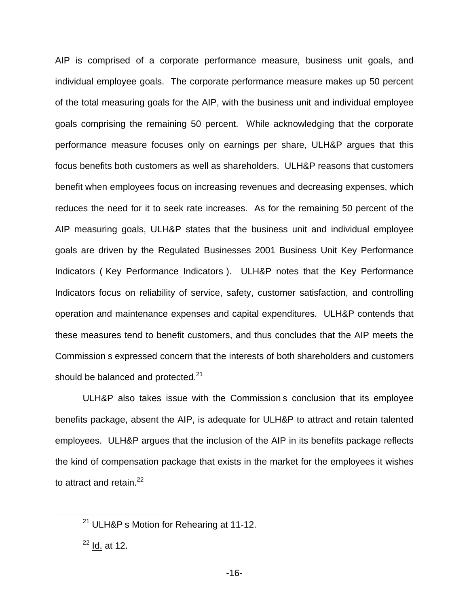AIP is comprised of a corporate performance measure, business unit goals, and individual employee goals. The corporate performance measure makes up 50 percent of the total measuring goals for the AIP, with the business unit and individual employee goals comprising the remaining 50 percent. While acknowledging that the corporate performance measure focuses only on earnings per share, ULH&P argues that this focus benefits both customers as well as shareholders. ULH&P reasons that customers benefit when employees focus on increasing revenues and decreasing expenses, which reduces the need for it to seek rate increases. As for the remaining 50 percent of the AIP measuring goals, ULH&P states that the business unit and individual employee goals are driven by the Regulated Businesses 2001 Business Unit Key Performance Indicators ( Key Performance Indicators ). ULH&P notes that the Key Performance Indicators focus on reliability of service, safety, customer satisfaction, and controlling operation and maintenance expenses and capital expenditures. ULH&P contends that these measures tend to benefit customers, and thus concludes that the AIP meets the Commission s expressed concern that the interests of both shareholders and customers should be balanced and protected. $21$ 

ULH&P also takes issue with the Commission s conclusion that its employee benefits package, absent the AIP, is adequate for ULH&P to attract and retain talented employees. ULH&P argues that the inclusion of the AIP in its benefits package reflects the kind of compensation package that exists in the market for the employees it wishes to attract and retain. $22$ 

<sup>&</sup>lt;sup>21</sup> ULH&P s Motion for Rehearing at 11-12.

 $22$  Id. at 12.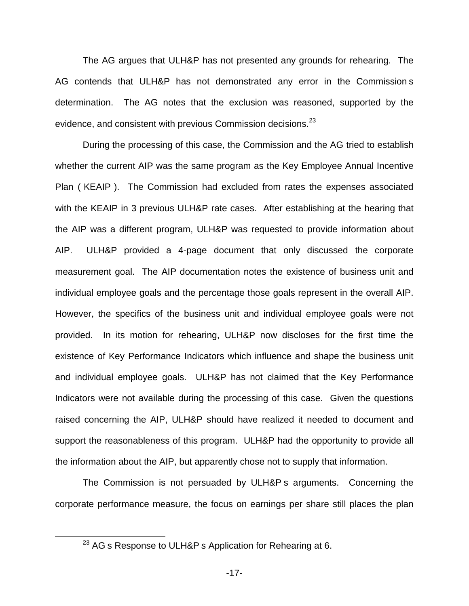The AG argues that ULH&P has not presented any grounds for rehearing. The AG contends that ULH&P has not demonstrated any error in the Commission s determination. The AG notes that the exclusion was reasoned, supported by the evidence, and consistent with previous Commission decisions.<sup>23</sup>

During the processing of this case, the Commission and the AG tried to establish whether the current AIP was the same program as the Key Employee Annual Incentive Plan ( KEAIP ). The Commission had excluded from rates the expenses associated with the KEAIP in 3 previous ULH&P rate cases. After establishing at the hearing that the AIP was a different program, ULH&P was requested to provide information about AIP. ULH&P provided a 4-page document that only discussed the corporate measurement goal. The AIP documentation notes the existence of business unit and individual employee goals and the percentage those goals represent in the overall AIP. However, the specifics of the business unit and individual employee goals were not provided. In its motion for rehearing, ULH&P now discloses for the first time the existence of Key Performance Indicators which influence and shape the business unit and individual employee goals. ULH&P has not claimed that the Key Performance Indicators were not available during the processing of this case. Given the questions raised concerning the AIP, ULH&P should have realized it needed to document and support the reasonableness of this program. ULH&P had the opportunity to provide all the information about the AIP, but apparently chose not to supply that information.

The Commission is not persuaded by ULH&P s arguments. Concerning the corporate performance measure, the focus on earnings per share still places the plan

<sup>&</sup>lt;sup>23</sup> AG s Response to ULH&P s Application for Rehearing at 6.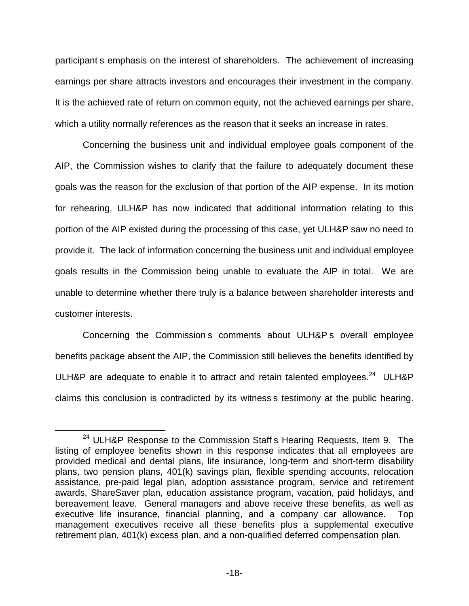participant s emphasis on the interest of shareholders. The achievement of increasing earnings per share attracts investors and encourages their investment in the company. It is the achieved rate of return on common equity, not the achieved earnings per share, which a utility normally references as the reason that it seeks an increase in rates.

Concerning the business unit and individual employee goals component of the AIP, the Commission wishes to clarify that the failure to adequately document these goals was the reason for the exclusion of that portion of the AIP expense. In its motion for rehearing, ULH&P has now indicated that additional information relating to this portion of the AIP existed during the processing of this case, yet ULH&P saw no need to provide it. The lack of information concerning the business unit and individual employee goals results in the Commission being unable to evaluate the AIP in total. We are unable to determine whether there truly is a balance between shareholder interests and customer interests.

Concerning the Commission s comments about ULH&P s overall employee benefits package absent the AIP, the Commission still believes the benefits identified by ULH&P are adequate to enable it to attract and retain talented employees.<sup>24</sup> ULH&P claims this conclusion is contradicted by its witness s testimony at the public hearing.

<sup>&</sup>lt;sup>24</sup> ULH&P Response to the Commission Staff s Hearing Requests, Item 9. The listing of employee benefits shown in this response indicates that all employees are provided medical and dental plans, life insurance, long-term and short-term disability plans, two pension plans, 401(k) savings plan, flexible spending accounts, relocation assistance, pre-paid legal plan, adoption assistance program, service and retirement awards, ShareSaver plan, education assistance program, vacation, paid holidays, and bereavement leave. General managers and above receive these benefits, as well as executive life insurance, financial planning, and a company car allowance. Top management executives receive all these benefits plus a supplemental executive retirement plan, 401(k) excess plan, and a non-qualified deferred compensation plan.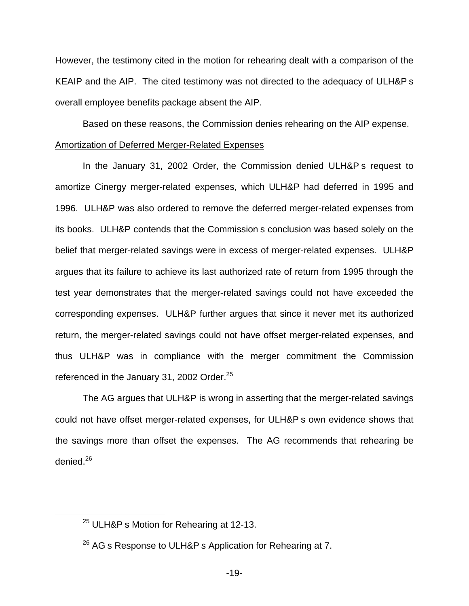However, the testimony cited in the motion for rehearing dealt with a comparison of the KEAIP and the AIP. The cited testimony was not directed to the adequacy of ULH&P s overall employee benefits package absent the AIP.

Based on these reasons, the Commission denies rehearing on the AIP expense.

### Amortization of Deferred Merger-Related Expenses

In the January 31, 2002 Order, the Commission denied ULH&P s request to amortize Cinergy merger-related expenses, which ULH&P had deferred in 1995 and 1996. ULH&P was also ordered to remove the deferred merger-related expenses from its books. ULH&P contends that the Commission s conclusion was based solely on the belief that merger-related savings were in excess of merger-related expenses. ULH&P argues that its failure to achieve its last authorized rate of return from 1995 through the test year demonstrates that the merger-related savings could not have exceeded the corresponding expenses. ULH&P further argues that since it never met its authorized return, the merger-related savings could not have offset merger-related expenses, and thus ULH&P was in compliance with the merger commitment the Commission referenced in the January 31, 2002 Order.<sup>25</sup>

The AG argues that ULH&P is wrong in asserting that the merger-related savings could not have offset merger-related expenses, for ULH&P s own evidence shows that the savings more than offset the expenses. The AG recommends that rehearing be denied.26

<sup>&</sup>lt;sup>25</sup> ULH&P s Motion for Rehearing at 12-13.

 $26$  AG s Response to ULH&P s Application for Rehearing at 7.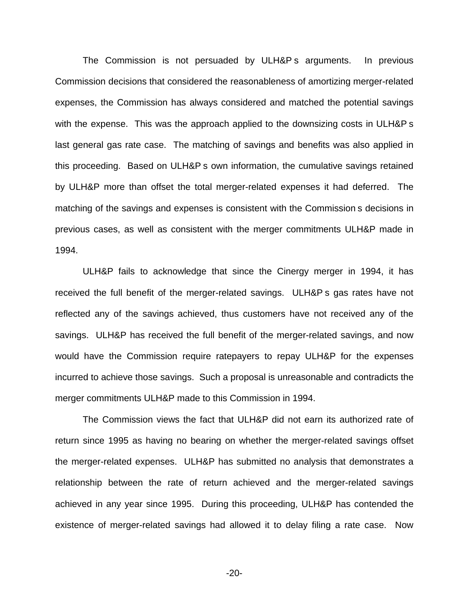The Commission is not persuaded by ULH&P s arguments. In previous Commission decisions that considered the reasonableness of amortizing merger-related expenses, the Commission has always considered and matched the potential savings with the expense. This was the approach applied to the downsizing costs in ULH&P s last general gas rate case. The matching of savings and benefits was also applied in this proceeding. Based on ULH&P s own information, the cumulative savings retained by ULH&P more than offset the total merger-related expenses it had deferred. The matching of the savings and expenses is consistent with the Commission s decisions in previous cases, as well as consistent with the merger commitments ULH&P made in 1994.

ULH&P fails to acknowledge that since the Cinergy merger in 1994, it has received the full benefit of the merger-related savings. ULH&P s gas rates have not reflected any of the savings achieved, thus customers have not received any of the savings. ULH&P has received the full benefit of the merger-related savings, and now would have the Commission require ratepayers to repay ULH&P for the expenses incurred to achieve those savings. Such a proposal is unreasonable and contradicts the merger commitments ULH&P made to this Commission in 1994.

The Commission views the fact that ULH&P did not earn its authorized rate of return since 1995 as having no bearing on whether the merger-related savings offset the merger-related expenses. ULH&P has submitted no analysis that demonstrates a relationship between the rate of return achieved and the merger-related savings achieved in any year since 1995. During this proceeding, ULH&P has contended the existence of merger-related savings had allowed it to delay filing a rate case. Now

-20-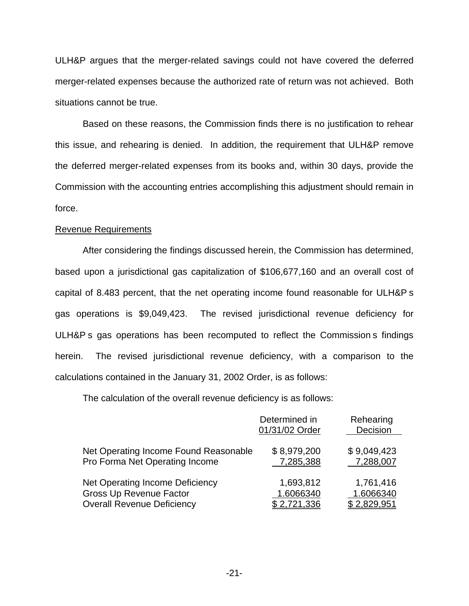ULH&P argues that the merger-related savings could not have covered the deferred merger-related expenses because the authorized rate of return was not achieved. Both situations cannot be true.

Based on these reasons, the Commission finds there is no justification to rehear this issue, and rehearing is denied. In addition, the requirement that ULH&P remove the deferred merger-related expenses from its books and, within 30 days, provide the Commission with the accounting entries accomplishing this adjustment should remain in force.

### Revenue Requirements

After considering the findings discussed herein, the Commission has determined, based upon a jurisdictional gas capitalization of \$106,677,160 and an overall cost of capital of 8.483 percent, that the net operating income found reasonable for ULH&P s gas operations is \$9,049,423. The revised jurisdictional revenue deficiency for ULH&P s gas operations has been recomputed to reflect the Commission s findings herein. The revised jurisdictional revenue deficiency, with a comparison to the calculations contained in the January 31, 2002 Order, is as follows:

The calculation of the overall revenue deficiency is as follows:

|                                        | Determined in<br>01/31/02 Order | Rehearing<br>Decision |
|----------------------------------------|---------------------------------|-----------------------|
| Net Operating Income Found Reasonable  | \$8,979,200                     | \$9,049,423           |
| Pro Forma Net Operating Income         | 7,285,388                       | 7,288,007             |
| <b>Net Operating Income Deficiency</b> | 1,693,812                       | 1,761,416             |
| <b>Gross Up Revenue Factor</b>         | 1.6066340                       | 1.6066340             |
| <b>Overall Revenue Deficiency</b>      | \$2,721,336                     | \$2,829,951           |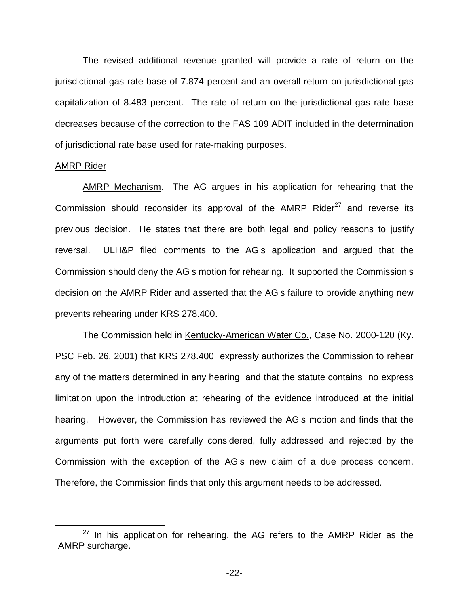The revised additional revenue granted will provide a rate of return on the jurisdictional gas rate base of 7.874 percent and an overall return on jurisdictional gas capitalization of 8.483 percent. The rate of return on the jurisdictional gas rate base decreases because of the correction to the FAS 109 ADIT included in the determination of jurisdictional rate base used for rate-making purposes.

#### AMRP Rider

AMRP Mechanism. The AG argues in his application for rehearing that the Commission should reconsider its approval of the  $AMRP$  Rider<sup>27</sup> and reverse its previous decision. He states that there are both legal and policy reasons to justify reversal. ULH&P filed comments to the AG s application and argued that the Commission should deny the AG s motion for rehearing. It supported the Commission s decision on the AMRP Rider and asserted that the AG s failure to provide anything new prevents rehearing under KRS 278.400.

The Commission held in Kentucky-American Water Co., Case No. 2000-120 (Ky. PSC Feb. 26, 2001) that KRS 278.400 expressly authorizes the Commission to rehear any of the matters determined in any hearing and that the statute contains no express limitation upon the introduction at rehearing of the evidence introduced at the initial hearing. However, the Commission has reviewed the AG s motion and finds that the arguments put forth were carefully considered, fully addressed and rejected by the Commission with the exception of the AG s new claim of a due process concern. Therefore, the Commission finds that only this argument needs to be addressed.

 $27$  In his application for rehearing, the AG refers to the AMRP Rider as the AMRP surcharge.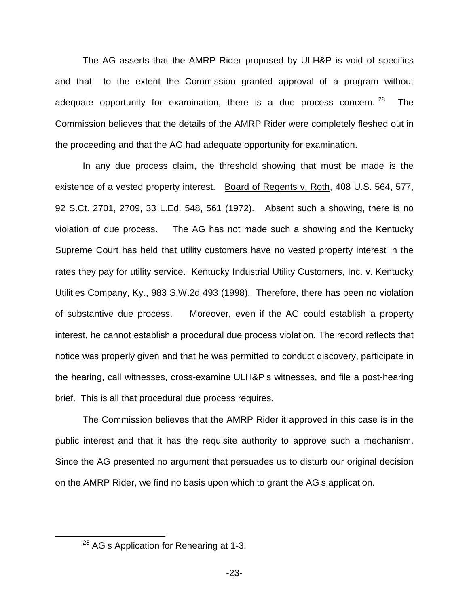The AG asserts that the AMRP Rider proposed by ULH&P is void of specifics and that, to the extent the Commission granted approval of a program without adequate opportunity for examination, there is a due process concern.  $28$  The Commission believes that the details of the AMRP Rider were completely fleshed out in the proceeding and that the AG had adequate opportunity for examination.

In any due process claim, the threshold showing that must be made is the existence of a vested property interest. Board of Regents v. Roth, 408 U.S. 564, 577, 92 S.Ct. 2701, 2709, 33 L.Ed. 548, 561 (1972). Absent such a showing, there is no violation of due process. The AG has not made such a showing and the Kentucky Supreme Court has held that utility customers have no vested property interest in the rates they pay for utility service. Kentucky Industrial Utility Customers, Inc. v. Kentucky Utilities Company, Ky., 983 S.W.2d 493 (1998). Therefore, there has been no violation of substantive due process. Moreover, even if the AG could establish a property interest, he cannot establish a procedural due process violation. The record reflects that notice was properly given and that he was permitted to conduct discovery, participate in the hearing, call witnesses, cross-examine ULH&P s witnesses, and file a post-hearing brief. This is all that procedural due process requires.

The Commission believes that the AMRP Rider it approved in this case is in the public interest and that it has the requisite authority to approve such a mechanism. Since the AG presented no argument that persuades us to disturb our original decision on the AMRP Rider, we find no basis upon which to grant the AG s application.

<sup>&</sup>lt;sup>28</sup> AG s Application for Rehearing at 1-3.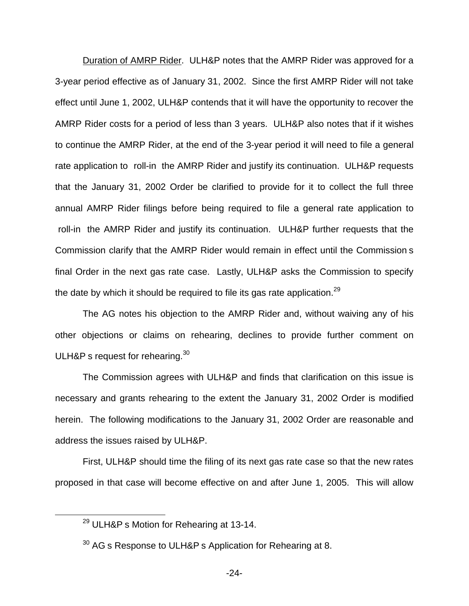Duration of AMRP Rider. ULH&P notes that the AMRP Rider was approved for a 3-year period effective as of January 31, 2002. Since the first AMRP Rider will not take effect until June 1, 2002, ULH&P contends that it will have the opportunity to recover the AMRP Rider costs for a period of less than 3 years. ULH&P also notes that if it wishes to continue the AMRP Rider, at the end of the 3-year period it will need to file a general rate application to roll-in the AMRP Rider and justify its continuation. ULH&P requests that the January 31, 2002 Order be clarified to provide for it to collect the full three annual AMRP Rider filings before being required to file a general rate application to roll-in the AMRP Rider and justify its continuation. ULH&P further requests that the Commission clarify that the AMRP Rider would remain in effect until the Commission s final Order in the next gas rate case. Lastly, ULH&P asks the Commission to specify the date by which it should be required to file its gas rate application.<sup>29</sup>

The AG notes his objection to the AMRP Rider and, without waiving any of his other objections or claims on rehearing, declines to provide further comment on ULH&P s request for rehearing. $30<sup>30</sup>$ 

The Commission agrees with ULH&P and finds that clarification on this issue is necessary and grants rehearing to the extent the January 31, 2002 Order is modified herein. The following modifications to the January 31, 2002 Order are reasonable and address the issues raised by ULH&P.

First, ULH&P should time the filing of its next gas rate case so that the new rates proposed in that case will become effective on and after June 1, 2005. This will allow

<sup>&</sup>lt;sup>29</sup> ULH&P s Motion for Rehearing at 13-14.

<sup>&</sup>lt;sup>30</sup> AG s Response to ULH&P s Application for Rehearing at 8.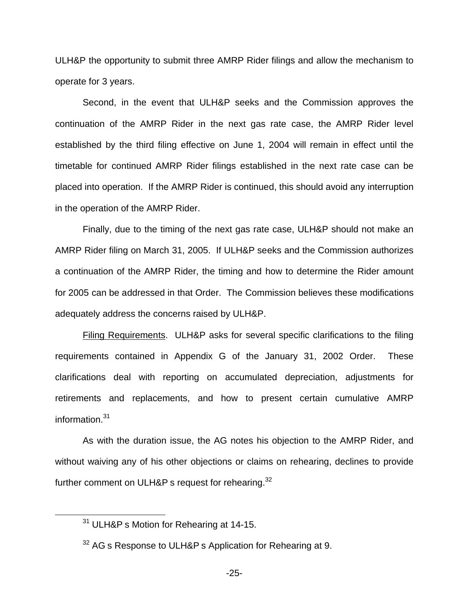ULH&P the opportunity to submit three AMRP Rider filings and allow the mechanism to operate for 3 years.

Second, in the event that ULH&P seeks and the Commission approves the continuation of the AMRP Rider in the next gas rate case, the AMRP Rider level established by the third filing effective on June 1, 2004 will remain in effect until the timetable for continued AMRP Rider filings established in the next rate case can be placed into operation. If the AMRP Rider is continued, this should avoid any interruption in the operation of the AMRP Rider.

Finally, due to the timing of the next gas rate case, ULH&P should not make an AMRP Rider filing on March 31, 2005. If ULH&P seeks and the Commission authorizes a continuation of the AMRP Rider, the timing and how to determine the Rider amount for 2005 can be addressed in that Order. The Commission believes these modifications adequately address the concerns raised by ULH&P.

Filing Requirements. ULH&P asks for several specific clarifications to the filing requirements contained in Appendix G of the January 31, 2002 Order. These clarifications deal with reporting on accumulated depreciation, adjustments for retirements and replacements, and how to present certain cumulative AMRP information.<sup>31</sup>

As with the duration issue, the AG notes his objection to the AMRP Rider, and without waiving any of his other objections or claims on rehearing, declines to provide further comment on ULH&P s request for rehearing. $32$ 

<sup>&</sup>lt;sup>31</sup> ULH&P s Motion for Rehearing at 14-15.

<sup>&</sup>lt;sup>32</sup> AG s Response to ULH&P s Application for Rehearing at 9.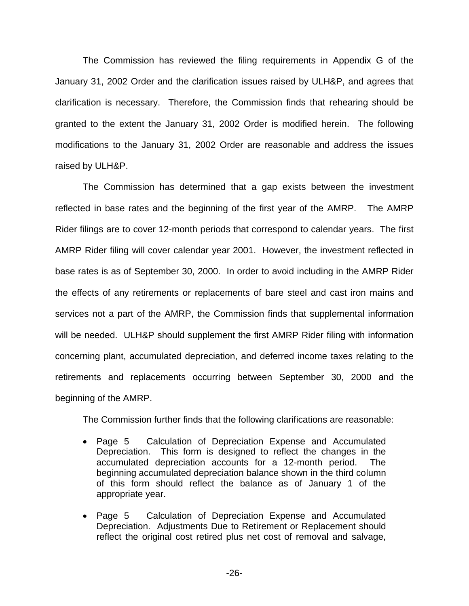The Commission has reviewed the filing requirements in Appendix G of the January 31, 2002 Order and the clarification issues raised by ULH&P, and agrees that clarification is necessary. Therefore, the Commission finds that rehearing should be granted to the extent the January 31, 2002 Order is modified herein. The following modifications to the January 31, 2002 Order are reasonable and address the issues raised by ULH&P.

The Commission has determined that a gap exists between the investment reflected in base rates and the beginning of the first year of the AMRP. The AMRP Rider filings are to cover 12-month periods that correspond to calendar years. The first AMRP Rider filing will cover calendar year 2001. However, the investment reflected in base rates is as of September 30, 2000. In order to avoid including in the AMRP Rider the effects of any retirements or replacements of bare steel and cast iron mains and services not a part of the AMRP, the Commission finds that supplemental information will be needed. ULH&P should supplement the first AMRP Rider filing with information concerning plant, accumulated depreciation, and deferred income taxes relating to the retirements and replacements occurring between September 30, 2000 and the beginning of the AMRP.

The Commission further finds that the following clarifications are reasonable:

- Page 5 Calculation of Depreciation Expense and Accumulated Depreciation. This form is designed to reflect the changes in the accumulated depreciation accounts for a 12-month period. The beginning accumulated depreciation balance shown in the third column of this form should reflect the balance as of January 1 of the appropriate year.
- Page 5 Calculation of Depreciation Expense and Accumulated Depreciation. Adjustments Due to Retirement or Replacement should reflect the original cost retired plus net cost of removal and salvage,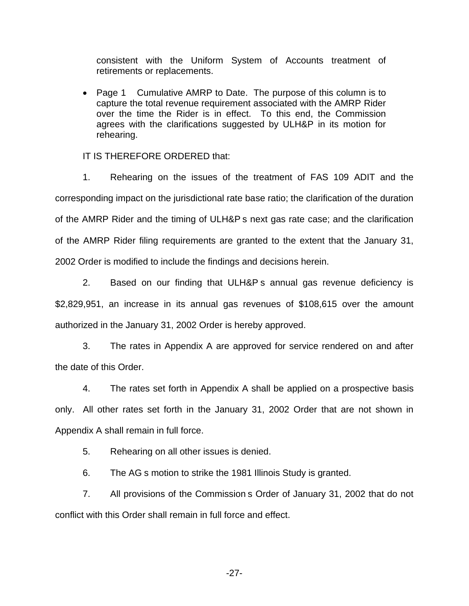consistent with the Uniform System of Accounts treatment of retirements or replacements.

■ Page 1 Cumulative AMRP to Date. The purpose of this column is to capture the total revenue requirement associated with the AMRP Rider over the time the Rider is in effect. To this end, the Commission agrees with the clarifications suggested by ULH&P in its motion for rehearing.

### IT IS THEREFORE ORDERED that:

1. Rehearing on the issues of the treatment of FAS 109 ADIT and the corresponding impact on the jurisdictional rate base ratio; the clarification of the duration of the AMRP Rider and the timing of ULH&P s next gas rate case; and the clarification of the AMRP Rider filing requirements are granted to the extent that the January 31, 2002 Order is modified to include the findings and decisions herein.

2. Based on our finding that ULH&P s annual gas revenue deficiency is \$2,829,951, an increase in its annual gas revenues of \$108,615 over the amount authorized in the January 31, 2002 Order is hereby approved.

3. The rates in Appendix A are approved for service rendered on and after the date of this Order.

4. The rates set forth in Appendix A shall be applied on a prospective basis only. All other rates set forth in the January 31, 2002 Order that are not shown in Appendix A shall remain in full force.

5. Rehearing on all other issues is denied.

6. The AG s motion to strike the 1981 Illinois Study is granted.

7. All provisions of the Commission s Order of January 31, 2002 that do not conflict with this Order shall remain in full force and effect.

-27-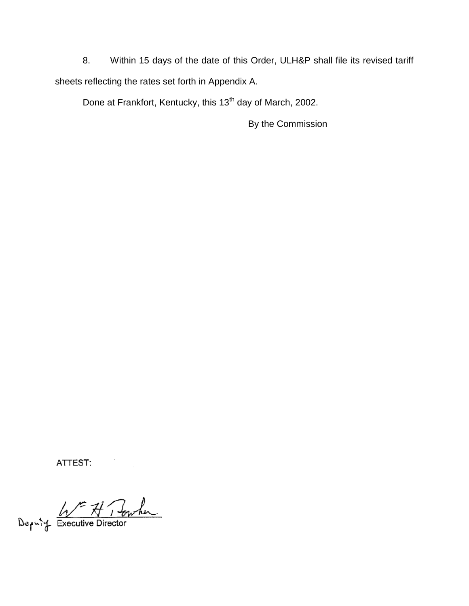8. Within 15 days of the date of this Order, ULH&P shall file its revised tariff sheets reflecting the rates set forth in Appendix A.

Done at Frankfort, Kentucky, this 13<sup>th</sup> day of March, 2002.

By the Commission

ATTEST:

Deputy Executive Director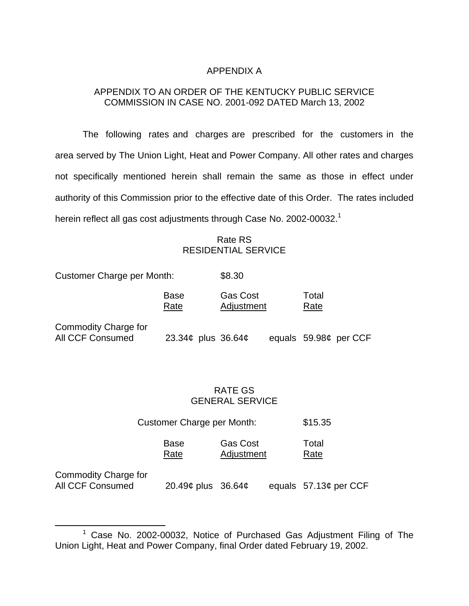# APPENDIX A

# APPENDIX TO AN ORDER OF THE KENTUCKY PUBLIC SERVICE COMMISSION IN CASE NO. 2001-092 DATED March 13, 2002

The following rates and charges are prescribed for the customers in the area served by The Union Light, Heat and Power Company. All other rates and charges not specifically mentioned herein shall remain the same as those in effect under authority of this Commission prior to the effective date of this Order. The rates included herein reflect all gas cost adjustments through Case No. 2002-00032.<sup>1</sup>

# Rate RS RESIDENTIAL SERVICE

Customer Charge per Month: \$8.30 Base Gas Cost Total Rate Adjustment Rate Commodity Charge for

All CCF Consumed 23.34¢ plus 36.64¢ equals 59.98¢ per CCF

# RATE GS GENERAL SERVICE

|              | <b>Customer Charge per Month:</b> |                               |               |
|--------------|-----------------------------------|-------------------------------|---------------|
|              | Base<br>Rate                      | <b>Gas Cost</b><br>Adjustment | Total<br>Rate |
| v Chargo for |                                   |                               |               |

Commodity Charge for

All CCF Consumed 20.49¢ plus 36.64¢ equals 57.13¢ per CCF

 $1$  Case No. 2002-00032, Notice of Purchased Gas Adjustment Filing of The Union Light, Heat and Power Company, final Order dated February 19, 2002.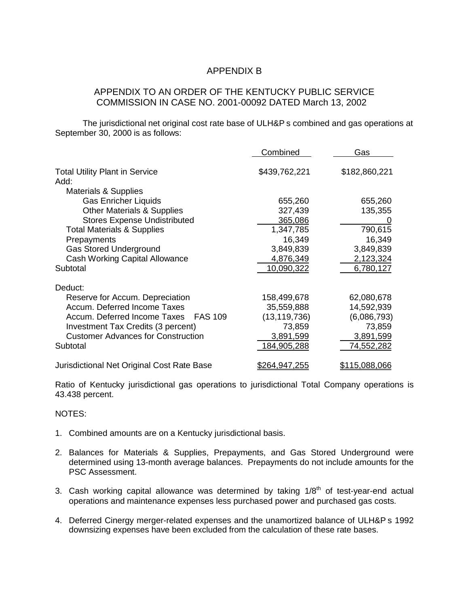# APPENDIX B

### APPENDIX TO AN ORDER OF THE KENTUCKY PUBLIC SERVICE COMMISSION IN CASE NO. 2001-00092 DATED March 13, 2002

The jurisdictional net original cost rate base of ULH&P s combined and gas operations at September 30, 2000 is as follows:

|                                               | Combined             | Gas                  |
|-----------------------------------------------|----------------------|----------------------|
| <b>Total Utility Plant in Service</b><br>Add: | \$439,762,221        | \$182,860,221        |
| <b>Materials &amp; Supplies</b>               |                      |                      |
| <b>Gas Enricher Liquids</b>                   | 655,260              | 655,260              |
| <b>Other Materials &amp; Supplies</b>         | 327,439              | 135,355              |
| <b>Stores Expense Undistributed</b>           | 365,086              |                      |
| <b>Total Materials &amp; Supplies</b>         | 1,347,785            | 790,615              |
| Prepayments                                   | 16,349               | 16,349               |
| <b>Gas Stored Underground</b>                 | 3,849,839            | 3,849,839            |
| <b>Cash Working Capital Allowance</b>         | 4,876,349            | 2,123,324            |
| Subtotal                                      | 10,090,322           | 6,780,127            |
| Deduct:                                       |                      |                      |
| Reserve for Accum. Depreciation               | 158,499,678          | 62,080,678           |
| Accum. Deferred Income Taxes                  | 35,559,888           | 14,592,939           |
| Accum. Deferred Income Taxes<br>FAS 109       | (13, 119, 736)       | (6,086,793)          |
| Investment Tax Credits (3 percent)            | 73,859               | 73,859               |
| <b>Customer Advances for Construction</b>     | 3,891,599            | 3,891,599            |
| Subtotal                                      | 184,905,288          | 74,552,282           |
| Jurisdictional Net Original Cost Rate Base    | <u>\$264,947,255</u> | <u>\$115.088.066</u> |

Ratio of Kentucky jurisdictional gas operations to jurisdictional Total Company operations is 43.438 percent.

NOTES:

- 1. Combined amounts are on a Kentucky jurisdictional basis.
- 2. Balances for Materials & Supplies, Prepayments, and Gas Stored Underground were determined using 13-month average balances. Prepayments do not include amounts for the PSC Assessment.
- 3. Cash working capital allowance was determined by taking  $1/8<sup>th</sup>$  of test-year-end actual operations and maintenance expenses less purchased power and purchased gas costs.
- 4. Deferred Cinergy merger-related expenses and the unamortized balance of ULH&P s 1992 downsizing expenses have been excluded from the calculation of these rate bases.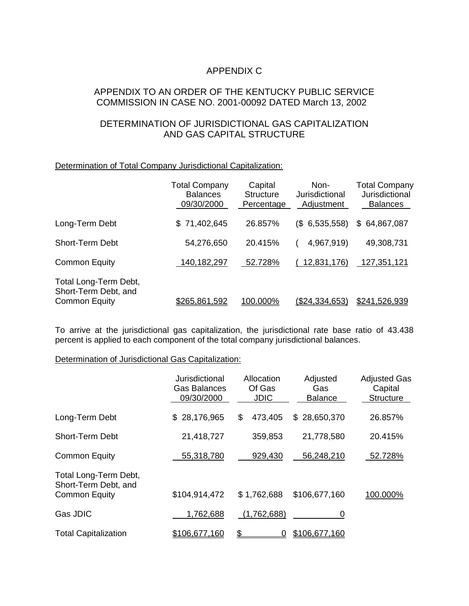# APPENDIX C

## APPENDIX TO AN ORDER OF THE KENTUCKY PUBLIC SERVICE COMMISSION IN CASE NO. 2001-00092 DATED March 13, 2002

# DETERMINATION OF JURISDICTIONAL GAS CAPITALIZATION AND GAS CAPITAL STRUCTURE

### Determination of Total Company Jurisdictional Capitalization:

|                                                                       | <b>Total Company</b><br><b>Balances</b><br>09/30/2000 | Capital<br><b>Structure</b><br>Percentage | Non-<br>Jurisdictional<br>Adjustment | <b>Total Company</b><br>Jurisdictional<br><b>Balances</b> |
|-----------------------------------------------------------------------|-------------------------------------------------------|-------------------------------------------|--------------------------------------|-----------------------------------------------------------|
| Long-Term Debt                                                        | \$71,402,645                                          | 26.857%                                   | $(S$ 6,535,558)                      | \$64,867,087                                              |
| <b>Short-Term Debt</b>                                                | 54,276,650                                            | 20.415%                                   | 4,967,919)                           | 49,308,731                                                |
| <b>Common Equity</b>                                                  | 140,182,297                                           | 52.728%                                   | 12,831,176)                          | 127,351,121                                               |
| Total Long-Term Debt,<br>Short-Term Debt, and<br><b>Common Equity</b> | <u>\$265.861.592</u>                                  | 100.000%                                  | <u>(\$24.334.653)</u>                | \$241.526.939                                             |

To arrive at the jurisdictional gas capitalization, the jurisdictional rate base ratio of 43.438 percent is applied to each component of the total company jurisdictional balances.

### Determination of Jurisdictional Gas Capitalization:

|                                                                       | Jurisdictional<br><b>Gas Balances</b><br>09/30/2000 | Allocation<br>Of Gas<br><b>JDIC</b> | Adjusted<br>Gas<br><b>Balance</b> | <b>Adjusted Gas</b><br>Capital<br><b>Structure</b> |
|-----------------------------------------------------------------------|-----------------------------------------------------|-------------------------------------|-----------------------------------|----------------------------------------------------|
| Long-Term Debt                                                        | \$28,176,965                                        | 473,405<br>\$                       | \$28,650,370                      | 26.857%                                            |
| <b>Short-Term Debt</b>                                                | 21,418,727                                          | 359,853                             | 21,778,580                        | 20.415%                                            |
| <b>Common Equity</b>                                                  | 55,318,780                                          | 929,430                             | 56,248,210                        | 52.728%                                            |
| Total Long-Term Debt,<br>Short-Term Debt, and<br><b>Common Equity</b> | \$104,914,472                                       | \$1,762,688                         | \$106,677,160                     | 100.000%                                           |
| Gas JDIC                                                              | 1,762,688                                           | (1,762,688)                         |                                   |                                                    |
| <b>Total Capitalization</b>                                           | \$106,677,160                                       | \$                                  | \$106,677,160                     |                                                    |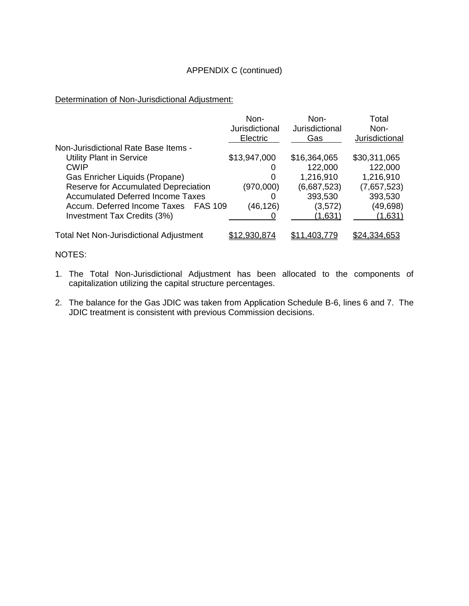### APPENDIX C (continued)

Determination of Non-Jurisdictional Adjustment:

|                                                | Non-<br>Jurisdictional<br>Electric | Non-<br>Jurisdictional<br>Gas | Total<br>Non-<br>Jurisdictional |
|------------------------------------------------|------------------------------------|-------------------------------|---------------------------------|
| Non-Jurisdictional Rate Base Items -           |                                    |                               |                                 |
| <b>Utility Plant in Service</b>                | \$13,947,000                       | \$16,364,065                  | \$30,311,065                    |
| <b>CWIP</b>                                    | O                                  | 122,000                       | 122,000                         |
| Gas Enricher Liquids (Propane)                 | 0                                  | 1,216,910                     | 1,216,910                       |
| Reserve for Accumulated Depreciation           | (970,000)                          | (6,687,523)                   | (7,657,523)                     |
| <b>Accumulated Deferred Income Taxes</b>       | O                                  | 393,530                       | 393,530                         |
| Accum. Deferred Income Taxes<br><b>FAS 109</b> | (46,126)                           | (3,572)                       | (49, 698)                       |
| Investment Tax Credits (3%)                    |                                    | (1,631)                       | (1,631)                         |
| <b>Total Net Non-Jurisdictional Adjustment</b> | \$12,930,874                       | \$11.403.779                  | \$24,334,653                    |

NOTES:

- 1. The Total Non-Jurisdictional Adjustment has been allocated to the components of capitalization utilizing the capital structure percentages.
- 2. The balance for the Gas JDIC was taken from Application Schedule B-6, lines 6 and 7. The JDIC treatment is consistent with previous Commission decisions.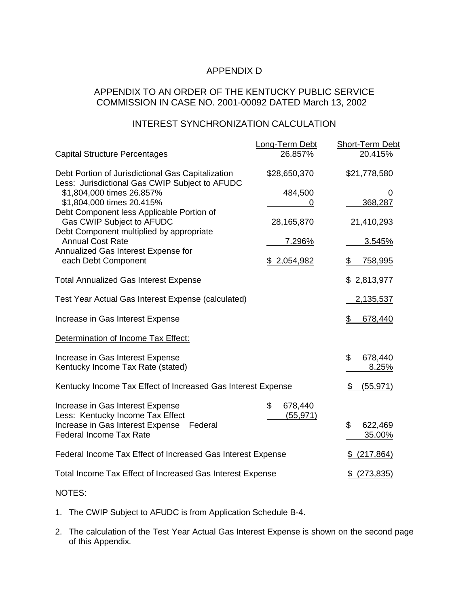# APPENDIX D

# APPENDIX TO AN ORDER OF THE KENTUCKY PUBLIC SERVICE COMMISSION IN CASE NO. 2001-00092 DATED March 13, 2002

# INTEREST SYNCHRONIZATION CALCULATION

|                                                                                                     | Long-Term Debt             | <b>Short-Term Debt</b>  |
|-----------------------------------------------------------------------------------------------------|----------------------------|-------------------------|
| <b>Capital Structure Percentages</b>                                                                | 26.857%                    | 20.415%                 |
| Debt Portion of Jurisdictional Gas Capitalization<br>Less: Jurisdictional Gas CWIP Subject to AFUDC | \$28,650,370               | \$21,778,580            |
| \$1,804,000 times 26.857%<br>\$1,804,000 times 20.415%                                              | 484,500<br>0               | 0<br>368,287            |
| Debt Component less Applicable Portion of<br>Gas CWIP Subject to AFUDC                              | 28,165,870                 | 21,410,293              |
| Debt Component multiplied by appropriate<br><b>Annual Cost Rate</b>                                 | 7.296%                     | 3.545%                  |
| Annualized Gas Interest Expense for<br>each Debt Component                                          | \$ 2,054,982               | <u>758,995</u><br>\$    |
| <b>Total Annualized Gas Interest Expense</b>                                                        |                            | \$2,813,977             |
| Test Year Actual Gas Interest Expense (calculated)                                                  |                            | 2,135,537               |
| Increase in Gas Interest Expense                                                                    |                            | 678,440<br>\$           |
| Determination of Income Tax Effect:                                                                 |                            |                         |
| Increase in Gas Interest Expense<br>Kentucky Income Tax Rate (stated)                               |                            | \$<br>678,440<br>8.25%  |
| Kentucky Income Tax Effect of Increased Gas Interest Expense                                        |                            | (55, 971)<br>\$         |
| Increase in Gas Interest Expense<br>Less: Kentucky Income Tax Effect                                | \$<br>678,440<br>(55, 971) |                         |
| Increase in Gas Interest Expense<br>Federal<br><b>Federal Income Tax Rate</b>                       |                            | \$<br>622,469<br>35.00% |
| Federal Income Tax Effect of Increased Gas Interest Expense                                         |                            | (217, 864)              |
| Total Income Tax Effect of Increased Gas Interest Expense                                           |                            | (273, 835)              |
|                                                                                                     |                            |                         |

NOTES:

- 1. The CWIP Subject to AFUDC is from Application Schedule B-4.
- 2. The calculation of the Test Year Actual Gas Interest Expense is shown on the second page of this Appendix.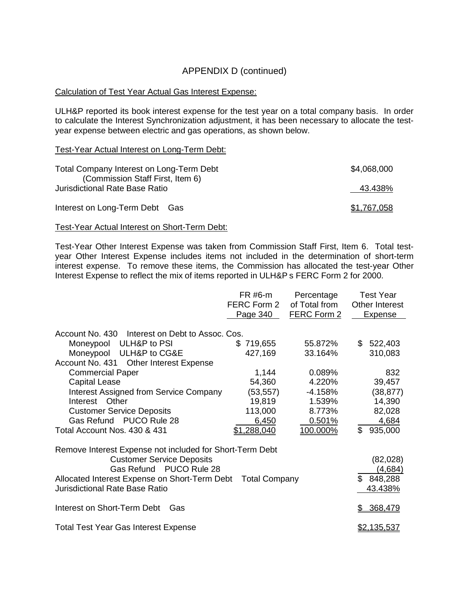# APPENDIX D (continued)

#### Calculation of Test Year Actual Gas Interest Expense:

ULH&P reported its book interest expense for the test year on a total company basis. In order to calculate the Interest Synchronization adjustment, it has been necessary to allocate the testyear expense between electric and gas operations, as shown below.

Test-Year Actual Interest on Long-Term Debt:

| Total Company Interest on Long-Term Debt<br>(Commission Staff First, Item 6) | \$4,068,000 |
|------------------------------------------------------------------------------|-------------|
| <b>Jurisdictional Rate Base Ratio</b>                                        | 43.438%     |
| Interest on Long-Term Debt Gas                                               | \$1,767,058 |

Test-Year Actual Interest on Short-Term Debt:

Test-Year Other Interest Expense was taken from Commission Staff First, Item 6. Total testyear Other Interest Expense includes items not included in the determination of short-term interest expense. To remove these items, the Commission has allocated the test-year Other Interest Expense to reflect the mix of items reported in ULH&P s FERC Form 2 for 2000.

|                                                                                                                                                                                                                                                                                                                          | FR #6-m<br>FERC Form 2<br>Page 340                                        | Percentage<br>of Total from<br>FERC Form 2                              | <b>Test Year</b><br><b>Other Interest</b><br><b>Expense</b>                |
|--------------------------------------------------------------------------------------------------------------------------------------------------------------------------------------------------------------------------------------------------------------------------------------------------------------------------|---------------------------------------------------------------------------|-------------------------------------------------------------------------|----------------------------------------------------------------------------|
| Account No. 430 Interest on Debt to Assoc. Cos.<br>Moneypool ULH&P to PSI<br>Moneypool<br>ULH&P to CG&E<br>Account No. 431<br><b>Other Interest Expense</b><br><b>Commercial Paper</b><br><b>Capital Lease</b><br><b>Interest Assigned from Service Company</b><br>Other<br>Interest<br><b>Customer Service Deposits</b> | \$719,655<br>427,169<br>1,144<br>54,360<br>(53, 557)<br>19,819<br>113,000 | 55.872%<br>33.164%<br>0.089%<br>4.220%<br>$-4.158%$<br>1.539%<br>8.773% | \$<br>522,403<br>310,083<br>832<br>39,457<br>(38, 877)<br>14,390<br>82,028 |
| Gas Refund PUCO Rule 28<br>Total Account Nos. 430 & 431                                                                                                                                                                                                                                                                  | 6,450<br>\$1,288,040                                                      | 0.501%<br>100.000%                                                      | \$<br>4,684<br>935,000                                                     |
| Remove Interest Expense not included for Short-Term Debt<br><b>Customer Service Deposits</b><br>Gas Refund PUCO Rule 28<br>Allocated Interest Expense on Short-Term Debt<br><b>Jurisdictional Rate Base Ratio</b>                                                                                                        | <b>Total Company</b>                                                      |                                                                         | (82,028)<br>(4,684)<br>\$848,288<br>43.438%                                |
| Interest on Short-Term Debt<br>Gas                                                                                                                                                                                                                                                                                       |                                                                           |                                                                         | 368,479                                                                    |
| <b>Total Test Year Gas Interest Expense</b>                                                                                                                                                                                                                                                                              |                                                                           |                                                                         | <u>\$2,135,537</u>                                                         |